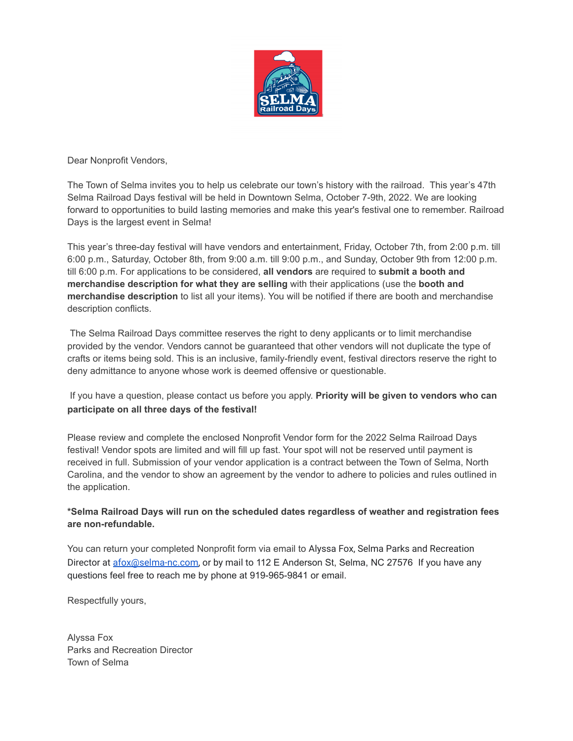

Dear Nonprofit Vendors,

The Town of Selma invites you to help us celebrate our town's history with the railroad. This year's 47th Selma Railroad Days festival will be held in Downtown Selma, October 7-9th, 2022. We are looking forward to opportunities to build lasting memories and make this year's festival one to remember. Railroad Days is the largest event in Selma!

This year's three-day festival will have vendors and entertainment, Friday, October 7th, from 2:00 p.m. till 6:00 p.m., Saturday, October 8th, from 9:00 a.m. till 9:00 p.m., and Sunday, October 9th from 12:00 p.m. till 6:00 p.m. For applications to be considered, **all vendors** are required to **submit a booth and merchandise description for what they are selling** with their applications (use the **booth and merchandise description** to list all your items). You will be notified if there are booth and merchandise description conflicts.

The Selma Railroad Days committee reserves the right to deny applicants or to limit merchandise provided by the vendor. Vendors cannot be guaranteed that other vendors will not duplicate the type of crafts or items being sold. This is an inclusive, family-friendly event, festival directors reserve the right to deny admittance to anyone whose work is deemed offensive or questionable.

# If you have a question, please contact us before you apply. **Priority will be given to vendors who can participate on all three days of the festival!**

Please review and complete the enclosed Nonprofit Vendor form for the 2022 Selma Railroad Days festival! Vendor spots are limited and will fill up fast. Your spot will not be reserved until payment is received in full. Submission of your vendor application is a contract between the Town of Selma, North Carolina, and the vendor to show an agreement by the vendor to adhere to policies and rules outlined in the application.

## **\*Selma Railroad Days will run on the scheduled dates regardless of weather and registration fees are non-refundable.**

You can return your completed Nonprofit form via email to Alyssa Fox, Selma Parks and Recreation Director at [afox@selma-nc.com](mailto:afox@selma-nc.com), or by mail to 112 E Anderson St, Selma, NC 27576 If you have any questions feel free to reach me by phone at 919-965-9841 or email.

Respectfully yours,

Alyssa Fox Parks and Recreation Director Town of Selma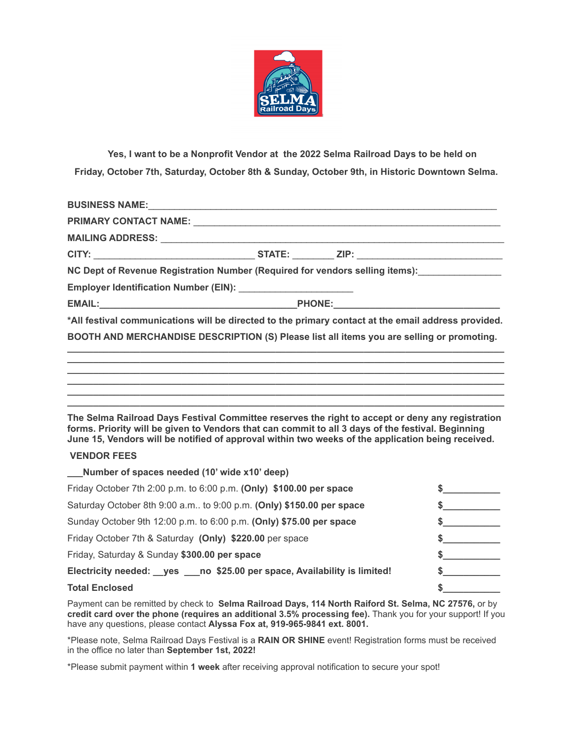

**Yes, I want to be a Nonprofit Vendor at the 2022 Selma Railroad Days to be held on Friday, October 7th, Saturday, October 8th & Sunday, October 9th, in Historic Downtown Selma.**

| BUSINESS NAME: New York State State State State State State State State State State State State State State State State State State State State State State State State State State State State State State State State State |  |  |
|-------------------------------------------------------------------------------------------------------------------------------------------------------------------------------------------------------------------------------|--|--|
|                                                                                                                                                                                                                               |  |  |
|                                                                                                                                                                                                                               |  |  |
|                                                                                                                                                                                                                               |  |  |
| NC Dept of Revenue Registration Number (Required for vendors selling items): _______________                                                                                                                                  |  |  |
| Employer Identification Number (EIN): _________________________                                                                                                                                                               |  |  |
|                                                                                                                                                                                                                               |  |  |
| *All festival communications will be directed to the primary contact at the email address provided.                                                                                                                           |  |  |
| BOOTH AND MERCHANDISE DESCRIPTION (S) Please list all items you are selling or promoting.                                                                                                                                     |  |  |
|                                                                                                                                                                                                                               |  |  |
|                                                                                                                                                                                                                               |  |  |

**The Selma Railroad Days Festival Committee reserves the right to accept or deny any registration forms. Priority will be given to Vendors that can commit to all 3 days of the festival. Beginning June 15, Vendors will be notified of approval within two weeks of the application being received.**

**\_\_\_\_\_\_\_\_\_\_\_\_\_\_\_\_\_\_\_\_\_\_\_\_\_\_\_\_\_\_\_\_\_\_\_\_\_\_\_\_\_\_\_\_\_\_\_\_\_\_\_\_\_\_\_\_\_\_\_\_\_\_\_\_\_\_\_\_\_\_\_\_\_\_\_\_\_\_\_\_\_\_\_\_ \_\_\_\_\_\_\_\_\_\_\_\_\_\_\_\_\_\_\_\_\_\_\_\_\_\_\_\_\_\_\_\_\_\_\_\_\_\_\_\_\_\_\_\_\_\_\_\_\_\_\_\_\_\_\_\_\_\_\_\_\_\_\_\_\_\_\_\_\_\_\_\_\_\_\_\_\_\_\_\_\_\_\_\_ \_\_\_\_\_\_\_\_\_\_\_\_\_\_\_\_\_\_\_\_\_\_\_\_\_\_\_\_\_\_\_\_\_\_\_\_\_\_\_\_\_\_\_\_\_\_\_\_\_\_\_\_\_\_\_\_\_\_\_\_\_\_\_\_\_\_\_\_\_\_\_\_\_\_\_\_\_\_\_\_\_\_\_\_**

## **VENDOR FEES**

| Number of spaces needed (10' wide x10' deep)                                  |  |
|-------------------------------------------------------------------------------|--|
| Friday October 7th 2:00 p.m. to 6:00 p.m. (Only) \$100.00 per space           |  |
| Saturday October 8th 9:00 a.m to 9:00 p.m. (Only) \$150.00 per space          |  |
| Sunday October 9th 12:00 p.m. to 6:00 p.m. (Only) \$75.00 per space           |  |
| Friday October 7th & Saturday (Only) \$220.00 per space                       |  |
| Friday, Saturday & Sunday \$300.00 per space                                  |  |
| Electricity needed: __ yes ___ no \$25.00 per space, Availability is limited! |  |
| <b>Total Enclosed</b>                                                         |  |

Payment can be remitted by check to **Selma Railroad Days, 114 North Raiford St. Selma, NC 27576,** or by **credit card over the phone (requires an additional 3.5% processing fee).** Thank you for your support! If you have any questions, please contact **Alyssa Fox at, 919-965-9841 ext. 8001.**

\*Please note, Selma Railroad Days Festival is a **RAIN OR SHINE** event! Registration forms must be received in the office no later than **September 1st, 2022!**

\*Please submit payment within **1 week** after receiving approval notification to secure your spot!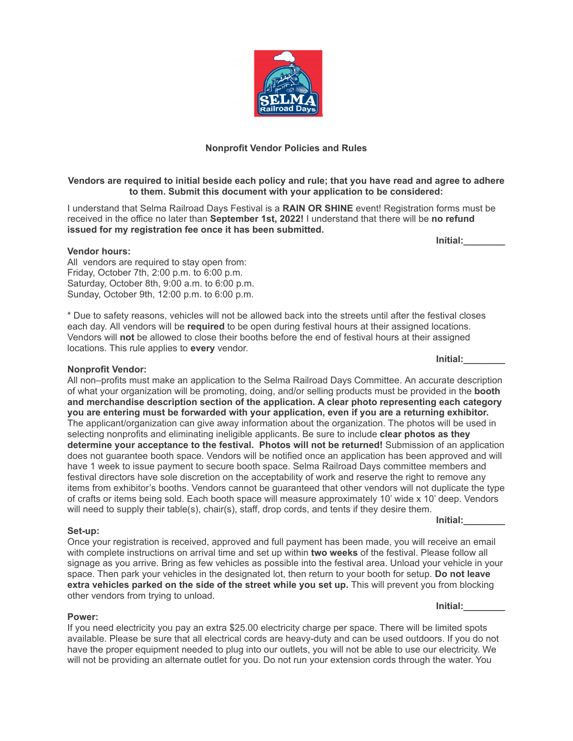

## Vendors are required to initial beside each policy and rule; that you have read and agree to adhere **to them. Submit this document with your application to be considered:**

I understand that Selma Railroad Days Festival is a **RAIN OR SHINE** event! Registration forms must be received in the office no later than **September 1st, 2022!** I understand that there will be **no refund issued for my registration fee once it has been submitted.**

**Initial:\_\_\_\_\_\_\_\_**

**Vendor hours:** All vendors are required to stay open from: Friday, October 7th, 2:00 p.m. to 6:00 p.m. Saturday, October 8th, 9:00 a.m. to 6:00 p.m.

Sunday, October 9th, 12:00 p.m. to 6:00 p.m.

\* Due to safety reasons, vehicles will not be allowed back into the streets until after the festival closes each day. All vendors will be **required** to be open during festival hours at their assigned locations. Vendors will **not** be allowed to close their booths before the end of festival hours at their assigned locations. This rule applies to **every** vendor.

#### **Nonprofit Vendor:**

All non–profits must make an application to the Selma Railroad Days Committee. An accurate description of what your organization will be promoting, doing, and/or selling products must be provided in the **booth and merchandise description section of the application. A clear photo representing each category you are entering must be forwarded with your application, even if you are a returning exhibitor.** The applicant/organization can give away information about the organization. The photos will be used in selecting nonprofits and eliminating ineligible applicants. Be sure to include **clear photos as they determine your acceptance to the festival. Photos will not be returned!** Submission of an application does not guarantee booth space. Vendors will be notified once an application has been approved and will have 1 week to issue payment to secure booth space. Selma Railroad Days committee members and festival directors have sole discretion on the acceptability of work and reserve the right to remove any items from exhibitor's booths. Vendors cannot be guaranteed that other vendors will not duplicate the type of crafts or items being sold. Each booth space will measure approximately 10' wide x 10' deep. Vendors will need to supply their table(s), chair(s), staff, drop cords, and tents if they desire them.

#### **Set-up:**

Once your registration is received, approved and full payment has been made, you will receive an email with complete instructions on arrival time and set up within **two weeks** of the festival. Please follow all signage as you arrive. Bring as few vehicles as possible into the festival area. Unload your vehicle in your space. Then park your vehicles in the designated lot, then return to your booth for setup. **Do not leave extra vehicles parked on the side of the street while you set up.** This will prevent you from blocking other vendors from trying to unload.

#### **Power:**

If you need electricity you pay an extra \$25.00 electricity charge per space. There will be limited spots available. Please be sure that all electrical cords are heavy-duty and can be used outdoors. If you do not have the proper equipment needed to plug into our outlets, you will not be able to use our electricity. We will not be providing an alternate outlet for you. Do not run your extension cords through the water. You

**Initial:\_\_\_\_\_\_\_\_**

**Initial:\_\_\_\_\_\_\_\_**

**Initial:\_\_\_\_\_\_\_\_**

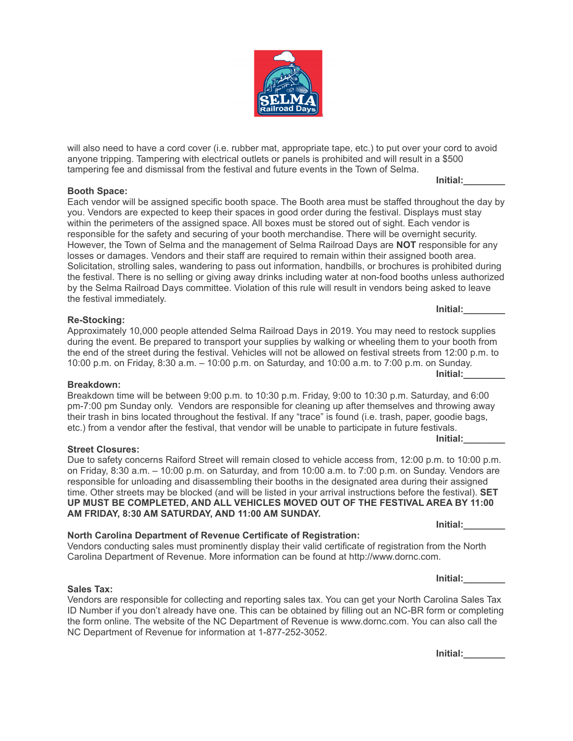will also need to have a cord cover (i.e. rubber mat, appropriate tape, etc.) to put over your cord to avoid anyone tripping. Tampering with electrical outlets or panels is prohibited and will result in a \$500 tampering fee and dismissal from the festival and future events in the Town of Selma.

## **Booth Space:**

Each vendor will be assigned specific booth space. The Booth area must be staffed throughout the day by you. Vendors are expected to keep their spaces in good order during the festival. Displays must stay within the perimeters of the assigned space. All boxes must be stored out of sight. Each vendor is responsible for the safety and securing of your booth merchandise. There will be overnight security. However, the Town of Selma and the management of Selma Railroad Days are **NOT** responsible for any losses or damages. Vendors and their staff are required to remain within their assigned booth area. Solicitation, strolling sales, wandering to pass out information, handbills, or brochures is prohibited during the festival. There is no selling or giving away drinks including water at non-food booths unless authorized by the Selma Railroad Days committee. Violation of this rule will result in vendors being asked to leave the festival immediately.

## **Re-Stocking:**

Approximately 10,000 people attended Selma Railroad Days in 2019. You may need to restock supplies during the event. Be prepared to transport your supplies by walking or wheeling them to your booth from the end of the street during the festival. Vehicles will not be allowed on festival streets from 12:00 p.m. to 10:00 p.m. on Friday, 8:30 a.m. – 10:00 p.m. on Saturday, and 10:00 a.m. to 7:00 p.m. on Sunday.

#### **Breakdown:**

Breakdown time will be between 9:00 p.m. to 10:30 p.m. Friday, 9:00 to 10:30 p.m. Saturday, and 6:00 pm-7:00 pm Sunday only. Vendors are responsible for cleaning up after themselves and throwing away their trash in bins located throughout the festival. If any "trace" is found (i.e. trash, paper, goodie bags, etc.) from a vendor after the festival, that vendor will be unable to participate in future festivals. **Initial:\_\_\_\_\_\_\_\_**

#### **Street Closures:**

**Sales Tax:**

Due to safety concerns Raiford Street will remain closed to vehicle access from, 12:00 p.m. to 10:00 p.m. on Friday, 8:30 a.m. – 10:00 p.m. on Saturday, and from 10:00 a.m. to 7:00 p.m. on Sunday. Vendors are responsible for unloading and disassembling their booths in the designated area during their assigned time. Other streets may be blocked (and will be listed in your arrival instructions before the festival). **SET UP MUST BE COMPLETED, AND ALL VEHICLES MOVED OUT OF THE FESTIVAL AREA BY 11:00 AM FRIDAY, 8:30 AM SATURDAY, AND 11:00 AM SUNDAY.**

## **North Carolina Department of Revenue Certificate of Registration:**

Vendors conducting sales must prominently display their valid certificate of registration from the North Carolina Department of Revenue. More information can be found at http://www.dornc.com.

Vendors are responsible for collecting and reporting sales tax. You can get your North Carolina Sales Tax ID Number if you don't already have one. This can be obtained by filling out an NC-BR form or completing the form online. The website of the NC Department of Revenue is www.dornc.com. You can also call the NC Department of Revenue for information at 1-877-252-3052.

**Initial:\_\_\_\_\_\_\_\_**



**Initial:\_\_\_\_\_\_\_\_**

**Initial:\_\_\_\_\_\_\_\_**

**Initial:\_\_\_\_\_\_\_\_**

**Initial:\_\_\_\_\_\_\_\_**

**Initial:\_\_\_\_\_\_\_\_**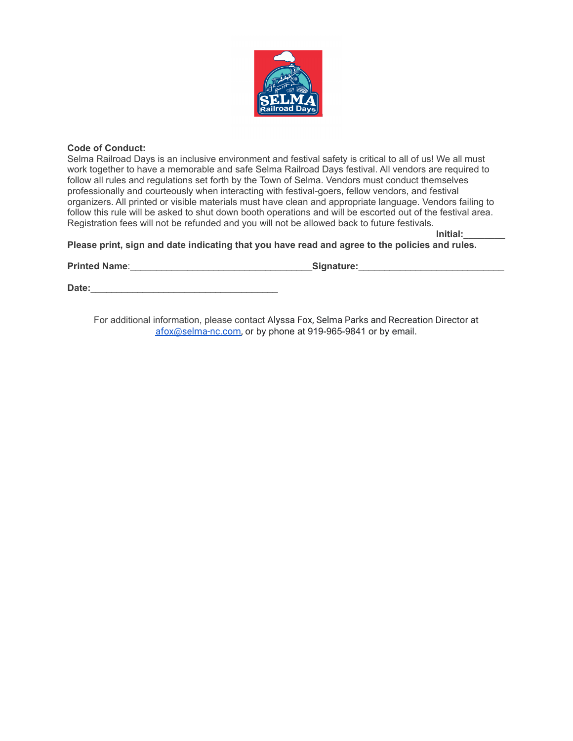

## **Code of Conduct:**

Selma Railroad Days is an inclusive environment and festival safety is critical to all of us! We all must work together to have a memorable and safe Selma Railroad Days festival. All vendors are required to follow all rules and regulations set forth by the Town of Selma. Vendors must conduct themselves professionally and courteously when interacting with festival-goers, fellow vendors, and festival organizers. All printed or visible materials must have clean and appropriate language. Vendors failing to follow this rule will be asked to shut down booth operations and will be escorted out of the festival area. Registration fees will not be refunded and you will not be allowed back to future festivals.

**Initial:\_\_\_\_\_\_\_\_ Please print, sign and date indicating that you have read and agree to the policies and rules.**

**Printed Name**:\_\_\_\_\_\_\_\_\_\_\_\_\_\_\_\_\_\_\_\_\_\_\_\_\_\_\_\_\_\_\_\_\_\_\_**Signature:**\_\_\_\_\_\_\_\_\_\_\_\_\_\_\_\_\_\_\_\_\_\_\_\_\_\_\_\_

**Date:**\_\_\_\_\_\_\_\_\_\_\_\_\_\_\_\_\_\_\_\_\_\_\_\_\_\_\_\_\_\_\_\_\_\_\_\_

For additional information, please contact Alyssa Fox, Selma Parks and Recreation Director at [afox@selma-nc.com,](mailto:afox@selma-nc.com) or by phone at 919-965-9841 or by email.